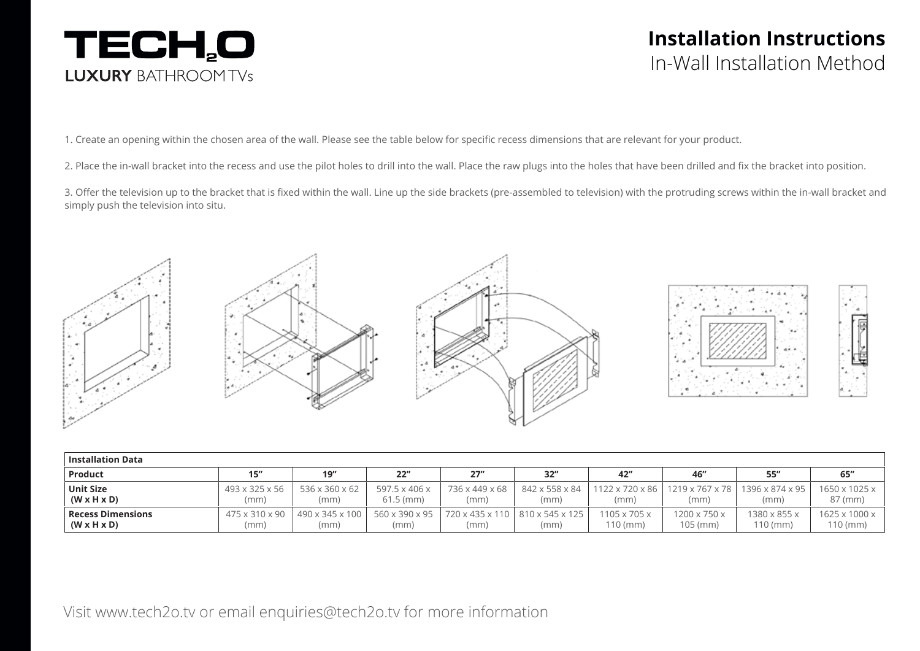## TECH,O **LUXURY BATHROOMTVS**

## **Installation Instructions**  In-Wall Installation Method

1. Create an opening within the chosen area of the wall. Please see the table below for specific recess dimensions that are relevant for your product.

2. Place the in-wall bracket into the recess and use the pilot holes to drill into the wall. Place the raw plugs into the holes that have been drilled and fix the bracket into position.

3. Offer the television up to the bracket that is fixed within the wall. Line up the side brackets (pre-assembled to television) with the protruding screws within the in-wall bracket and simply push the television into situ.



| $\mid$ Installation Data |                            |                 |                       |                |                                   |                          |                 |                 |                           |  |  |
|--------------------------|----------------------------|-----------------|-----------------------|----------------|-----------------------------------|--------------------------|-----------------|-----------------|---------------------------|--|--|
| <b>Product</b>           | 15"                        | 19''            | 22"                   | 27''           | 32"                               | 42"                      | 46"             | 55"             | 65"                       |  |  |
| <b>Unit Size</b>         | 493 x 325 x 56             | 536 x 360 x 62  | 597.5 x 406 x         | 736 x 449 x 68 | 842 x 558 x 84                    | 1122 x 720 x 86          | 1219 x 767 x 78 | 1396 x 874 x 95 | $1650 \times 1025 \times$ |  |  |
| $(W \times H \times D)$  | (mm)                       | (mm)            | $61.5 \, \text{(mm)}$ | (mm)           | (mm)                              | (mm)                     | (mm)            | (mm)            | 87 (mm)                   |  |  |
| <b>Recess Dimensions</b> | $475 \times 310 \times 90$ | 490 x 345 x 100 | 560 x 390 x 95        | (mm)           | 720 x 435 x 110   810 x 545 x 125 | $1105 \times 705 \times$ | 1200 x 750 x    | 1380 x 855 x    | $1625 \times 1000 \times$ |  |  |
| $(W \times H \times D)$  | (mm)                       | (mm)            | (mm)                  |                | (mm)                              | $10$ (mm)                | 105 (mm)        | $110$ (mm)      | 110 (mm)                  |  |  |

Visit www.tech2o.tv or email enquiries@tech2o.tv for more information